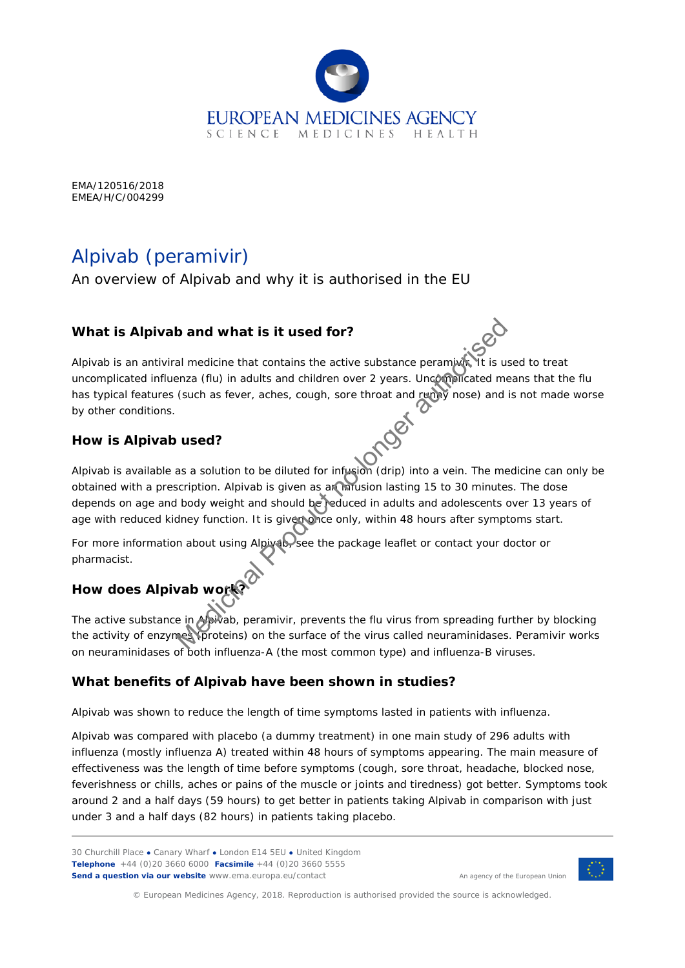

EMA/120516/2018 EMEA/H/C/004299

## Alpivab (*peramivir*)

An overview of Alpivab and why it is authorised in the EU

#### **What is Alpivab and what is it used for?**

Alpivab is an antiviral medicine that contains the active substance peramivir. It is used to treat uncomplicated influenza (flu) in adults and children over 2 years. Uncomplicated means that the flu has typical features (such as fever, aches, cough, sore throat and runny nose) and is not made worse by other conditions.

#### **How is Alpivab used?**

Alpivab is available as a solution to be diluted for infusion (drip) into a vein. The medicine can only be obtained with a prescription. Alpivab is given as an infusion lasting 15 to 30 minutes. The dose depends on age and body weight and should be reduced in adults and adolescents over 13 years of age with reduced kidney function. It is given once only, within 48 hours after symptoms start. and what is it used for?<br>
All medicine that contains the active substance peramids. It is u<br>
Product and the medicine over 2 years. Uncomplicated medicine at the server, aches, cough, sore throat and remains mose) and<br>
Use

For more information about using Alpivab, see the package leaflet or contact your doctor or pharmacist.

# **How does Alpivab work?**

The active substance in Apivab, peramivir, prevents the flu virus from spreading further by blocking the activity of enzymes (proteins) on the surface of the virus called neuraminidases. Peramivir works on neuraminidases of both influenza-A (the most common type) and influenza-B viruses.

#### **What benefits of Alpivab have been shown in studies?**

Alpivab was shown to reduce the length of time symptoms lasted in patients with influenza.

Alpivab was compared with placebo (a dummy treatment) in one main study of 296 adults with influenza (mostly influenza A) treated within 48 hours of symptoms appearing. The main measure of effectiveness was the length of time before symptoms (cough, sore throat, headache, blocked nose, feverishness or chills, aches or pains of the muscle or joints and tiredness) got better. Symptoms took around 2 and a half days (59 hours) to get better in patients taking Alpivab in comparison with just under 3 and a half days (82 hours) in patients taking placebo.





© European Medicines Agency, 2018. Reproduction is authorised provided the source is acknowledged.